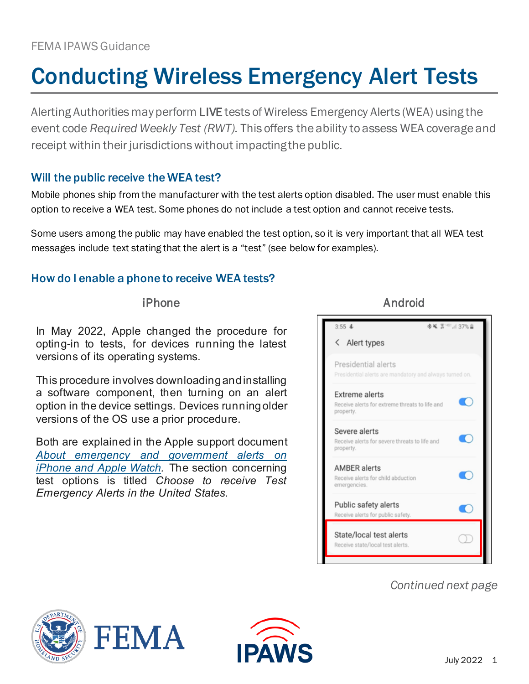### FEMA IPAWS Guidance

# Conducting Wireless Emergency Alert Tests

Alerting Authorities may perform LIVE tests of Wireless Emergency Alerts (WEA) using the event code *Required Weekly Test (RWT).* This offers the ability to assess WEA coverage and receipt within their jurisdictions without impacting the public.

#### Will the public receive the WEA test?

Mobile phones ship from the manufacturer with the test alerts option disabled. The user must enable this option to receive a WEA test. Some phones do not include a test option and cannot receive tests.

Some users among the public may have enabled the test option, so it is very important that all WEA test messages include text stating that the alert is a "test" (see below for examples).

#### How do I enable a phone to receive WEA tests?

In May 2022, Apple changed the procedure for opting-in to tests, for devices running the latest versions of its operating systems.

This procedure involves downloading and installing a software component, then turning on an alert option in the device settings. Devices running older versions of the OS use a prior procedure.

Both are explained in the Apple support document *[About emergency and government alerts on](https://support.apple.com/en-us/HT202743)  [iPhone and Apple Watch.](https://support.apple.com/en-us/HT202743)* The section concerning test options is titled *Choose to receive Test Emergency Alerts in the United States.*

iPhone Android



## *Continued next page*





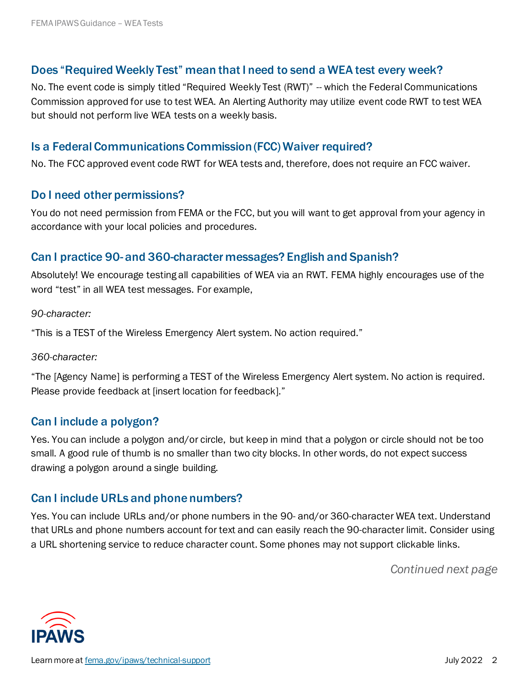#### Does "Required Weekly Test" mean that I need to send a WEA test every week?

No. The event code is simply titled "Required Weekly Test (RWT)" - which the Federal Communications Commission approved for use to test WEA. An Alerting Authority may utilize event code RWT to test WEA but should not perform live WEA tests on a weekly basis.

#### Is a Federal Communications Commission (FCC) Waiver required?

No. The FCC approved event code RWT for WEA tests and, therefore, does not require an FCC waiver.

#### Do I need other permissions?

You do not need permission from FEMA or the FCC, but you will want to get approval from your agency in accordance with your local policies and procedures.

#### Can I practice 90- and 360-character messages? English and Spanish?

Absolutely! We encourage testing all capabilities of WEA via an RWT. FEMA highly encourages use of the word "test" in all WEA test messages. For example,

*90-character:*

"This is a TEST of the Wireless Emergency Alert system. No action required."

#### *360-character:*

"The [Agency Name] is performing a TEST of the Wireless Emergency Alert system. No action is required. Please provide feedback at [insert location for feedback]."

#### Can I include a polygon?

Yes. You can include a polygon and/or circle, but keep in mind that a polygon or circle should not be too small. A good rule of thumb is no smaller than two city blocks. In other words, do not expect success drawing a polygon around a single building.

#### Can I include URLs and phone numbers?

Yes. You can include URLs and/or phone numbers in the 90- and/or 360-character WEA text. Understand that URLs and phone numbers account for text and can easily reach the 90-character limit. Consider using a URL shortening service to reduce character count. Some phones may not support clickable links.

*Continued next page*

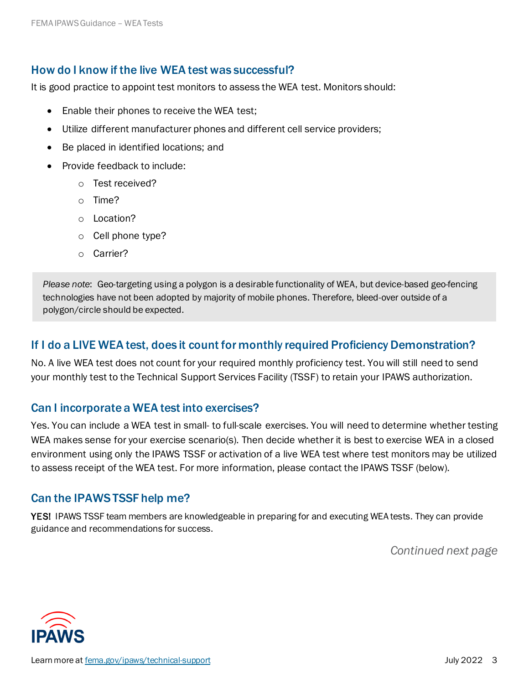#### How do I know if the live WEA test was successful?

It is good practice to appoint test monitors to assess the WEA test. Monitors should:

- Enable their phones to receive the WEA test;
- Utilize different manufacturer phones and different cell service providers;
- Be placed in identified locations; and
- Provide feedback to include:
	- o Test received?
	- o Time?
	- o Location?
	- o Cell phone type?
	- o Carrier?

*Please note*: Geo-targeting using a polygon is a desirable functionality of WEA, but device-based geo-fencing technologies have not been adopted by majority of mobile phones. Therefore, bleed-over outside of a polygon/circle should be expected.

#### If I do a LIVE WEA test, does it count for monthly required Proficiency Demonstration?

No. A live WEA test does not count for your required monthly proficiency test. You will still need to send your monthly test to the Technical Support Services Facility (TSSF) to retain your IPAWS authorization.

#### Can I incorporate a WEA test into exercises?

Yes. You can include a WEA test in small- to full-scale exercises. You will need to determine whether testing WEA makes sense for your exercise scenario(s). Then decide whether it is best to exercise WEA in a closed environment using only the IPAWS TSSF or activation of a live WEA test where test monitors may be utilized to assess receipt of the WEA test. For more information, please contact the IPAWS TSSF (below).

#### Can the IPAWS TSSF help me?

YES! IPAWS TSSF team members are knowledgeable in preparing for and executing WEA tests. They can provide guidance and recommendations for success.

*Continued next page*